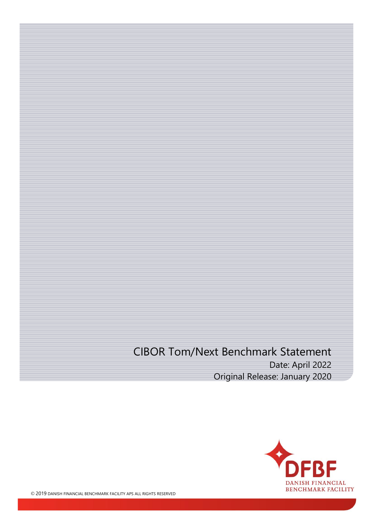## CIBOR Tom/Next Benchmark Statement Date: April 2022 Original Release: January 2020

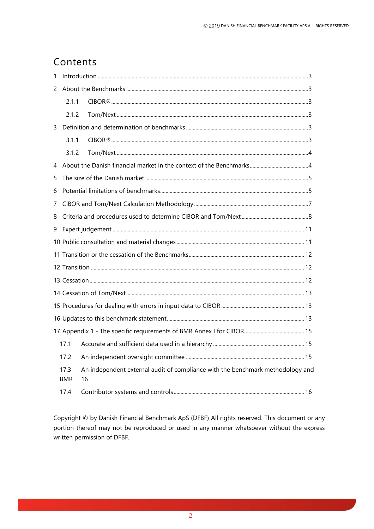### Contents

| 1 |                    |                                                                                      |  |  |  |  |
|---|--------------------|--------------------------------------------------------------------------------------|--|--|--|--|
| 2 |                    |                                                                                      |  |  |  |  |
|   | 2.1.1              |                                                                                      |  |  |  |  |
|   | 2.1.2              |                                                                                      |  |  |  |  |
| 3 |                    |                                                                                      |  |  |  |  |
|   | 3.1.1              |                                                                                      |  |  |  |  |
|   | 3.1.2              |                                                                                      |  |  |  |  |
| 4 |                    |                                                                                      |  |  |  |  |
| 5 |                    |                                                                                      |  |  |  |  |
| 6 |                    |                                                                                      |  |  |  |  |
| 7 |                    |                                                                                      |  |  |  |  |
| 8 |                    |                                                                                      |  |  |  |  |
| 9 |                    |                                                                                      |  |  |  |  |
|   |                    |                                                                                      |  |  |  |  |
|   |                    |                                                                                      |  |  |  |  |
|   |                    |                                                                                      |  |  |  |  |
|   |                    |                                                                                      |  |  |  |  |
|   |                    |                                                                                      |  |  |  |  |
|   |                    |                                                                                      |  |  |  |  |
|   |                    |                                                                                      |  |  |  |  |
|   |                    |                                                                                      |  |  |  |  |
|   | 17.1               |                                                                                      |  |  |  |  |
|   | 17.2               |                                                                                      |  |  |  |  |
|   | 17.3<br><b>BMR</b> | An independent external audit of compliance with the benchmark methodology and<br>16 |  |  |  |  |
|   | 17.4               |                                                                                      |  |  |  |  |

Copyright © by Danish Financial Benchmark ApS (DFBF) All rights reserved. This document or any portion thereof may not be reproduced or used in any manner whatsoever without the express written permission of DFBF.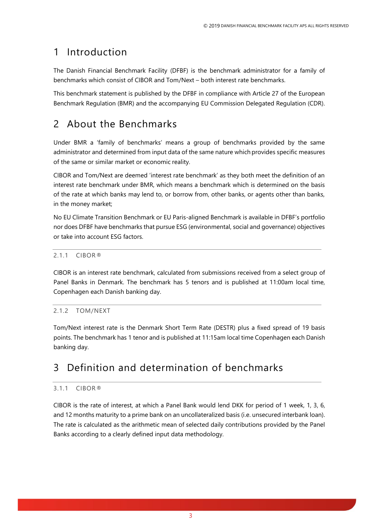## <span id="page-2-0"></span>1 Introduction

The Danish Financial Benchmark Facility (DFBF) is the benchmark administrator for a family of benchmarks which consist of CIBOR and Tom/Next – both interest rate benchmarks.

This benchmark statement is published by the DFBF in compliance with Article 27 of the European Benchmark Regulation (BMR) and the accompanying EU Commission Delegated Regulation (CDR).

# <span id="page-2-1"></span>2 About the Benchmarks

Under BMR a 'family of benchmarks' means a group of benchmarks provided by the same administrator and determined from input data of the same nature which provides specific measures of the same or similar market or economic reality.

CIBOR and Tom/Next are deemed 'interest rate benchmark' as they both meet the definition of an interest rate benchmark under BMR, which means a benchmark which is determined on the basis of the rate at which banks may lend to, or borrow from, other banks, or agents other than banks, in the money market;

No EU Climate Transition Benchmark or EU Paris-aligned Benchmark is available in DFBF's portfolio nor does DFBF have benchmarks that pursue ESG (environmental, social and governance) objectives or take into account ESG factors.

### <span id="page-2-2"></span>2.1.1 CIBOR®

CIBOR is an interest rate benchmark, calculated from submissions received from a select group of Panel Banks in Denmark. The benchmark has 5 tenors and is published at 11:00am local time, Copenhagen each Danish banking day.

### <span id="page-2-3"></span>2.1.2 TOM/NEXT

Tom/Next interest rate is the Denmark Short Term Rate (DESTR) plus a fixed spread of 19 basis points. The benchmark has 1 tenor and is published at 11:15am local time Copenhagen each Danish banking day.

## <span id="page-2-4"></span>3 Definition and determination of benchmarks

#### <span id="page-2-5"></span>3.1.1 CIBOR®

CIBOR is the rate of interest, at which a Panel Bank would lend DKK for period of 1 week, 1, 3, 6, and 12 months maturity to a prime bank on an uncollateralized basis (i.e. unsecured interbank loan). The rate is calculated as the arithmetic mean of selected daily contributions provided by the Panel Banks according to a clearly defined input data methodology.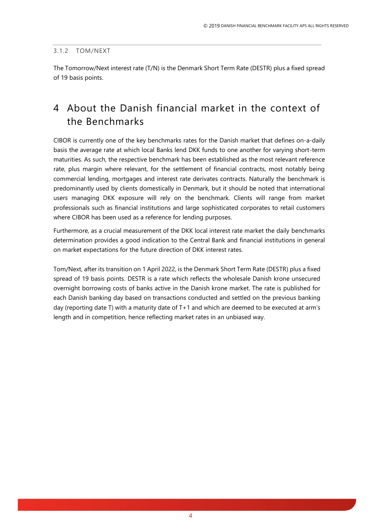#### <span id="page-3-0"></span>3.1.2 TOM/NEXT

The Tomorrow/Next interest rate (T/N) is the Denmark Short Term Rate (DESTR) plus a fixed spread of 19 basis points.

### <span id="page-3-1"></span>4 About the Danish financial market in the context of the Benchmarks

CIBOR is currently one of the key benchmarks rates for the Danish market that defines on-a-daily basis the average rate at which local Banks lend DKK funds to one another for varying short-term maturities. As such, the respective benchmark has been established as the most relevant reference rate, plus margin where relevant, for the settlement of financial contracts, most notably being commercial lending, mortgages and interest rate derivates contracts. Naturally the benchmark is predominantly used by clients domestically in Denmark, but it should be noted that international users managing DKK exposure will rely on the benchmark. Clients will range from market professionals such as financial institutions and large sophisticated corporates to retail customers where CIBOR has been used as a reference for lending purposes.

Furthermore, as a crucial measurement of the DKK local interest rate market the daily benchmarks determination provides a good indication to the Central Bank and financial institutions in general on market expectations for the future direction of DKK interest rates.

Tom/Next, after its transition on 1 April 2022, is the Denmark Short Term Rate (DESTR) plus a fixed spread of 19 basis points. DESTR is a rate which reflects the wholesale Danish krone unsecured overnight borrowing costs of banks active in the Danish krone market. The rate is published for each Danish banking day based on transactions conducted and settled on the previous banking day (reporting date T) with a maturity date of T+1 and which are deemed to be executed at arm's length and in competition, hence reflecting market rates in an unbiased way.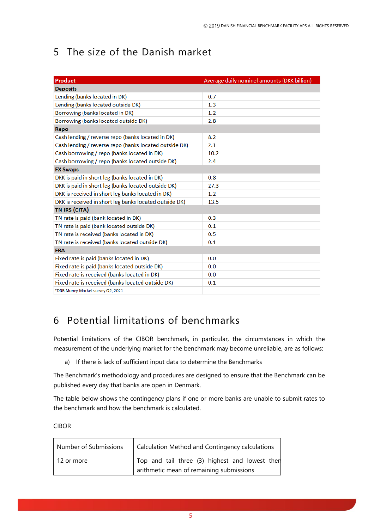# <span id="page-4-0"></span>5 The size of the Danish market

| Product                                                | Average daily nominel amounts (DKK billion) |  |  |  |  |
|--------------------------------------------------------|---------------------------------------------|--|--|--|--|
| <b>Deposits</b>                                        |                                             |  |  |  |  |
| Lending (banks located in DK)                          | 0.7                                         |  |  |  |  |
| Lending (banks located outside DK)                     | 1.3                                         |  |  |  |  |
| Borrowing (banks located in DK)                        | 1.2                                         |  |  |  |  |
| Borrowing (banks located outside DK)                   | 2.8                                         |  |  |  |  |
| Repo                                                   |                                             |  |  |  |  |
| Cash lending / reverse repo (banks located in DK)      | 8.2                                         |  |  |  |  |
| Cash lending / reverse repo (banks located outside DK) | 2.1                                         |  |  |  |  |
| Cash borrowing / repo (banks located in DK)            | 10.2                                        |  |  |  |  |
| Cash borrowing / repo (banks located outside DK)       | 2.4                                         |  |  |  |  |
| <b>FX Swaps</b>                                        |                                             |  |  |  |  |
| DKK is paid in short leg (banks located in DK)         | 0.8                                         |  |  |  |  |
| DKK is paid in short leg (banks located outside DK)    | 27.3                                        |  |  |  |  |
| DKK is received in short leg banks located in DK)      | 1.2                                         |  |  |  |  |
| DKK is received in short leg banks located outside DK) | 13.5                                        |  |  |  |  |
| TN IRS (CITA)                                          |                                             |  |  |  |  |
| TN rate is paid (bank located in DK)                   | 0.3                                         |  |  |  |  |
| TN rate is paid (bank located outside DK)              | 0.1                                         |  |  |  |  |
| TN rate is received (banks located in DK)              | 0.5                                         |  |  |  |  |
| TN rate is received (banks located outside DK)         | 0.1                                         |  |  |  |  |
| <b>FRA</b>                                             |                                             |  |  |  |  |
| Fixed rate is paid (banks located in DK)               | 0.0                                         |  |  |  |  |
| Fixed rate is paid (banks located outside DK)          | 0.0                                         |  |  |  |  |
| Fixed rate is received (banks located in DK)           | 0.0                                         |  |  |  |  |
| Fixed rate is received (banks located outside DK)      | 0.1                                         |  |  |  |  |
| *DNB Money Market survey Q2, 2021                      |                                             |  |  |  |  |

## <span id="page-4-1"></span>6 Potential limitations of benchmarks

Potential limitations of the CIBOR benchmark, in particular, the circumstances in which the measurement of the underlying market for the benchmark may become unreliable, are as follows:

a) If there is lack of sufficient input data to determine the Benchmarks

The Benchmark's methodology and procedures are designed to ensure that the Benchmark can be published every day that banks are open in Denmark.

The table below shows the contingency plans if one or more banks are unable to submit rates to the benchmark and how the benchmark is calculated.

#### **CIBOR**

| Number of Submissions | Calculation Method and Contingency calculations                                            |  |  |
|-----------------------|--------------------------------------------------------------------------------------------|--|--|
| 12 or more            | Top and tail three (3) highest and lowest then<br>arithmetic mean of remaining submissions |  |  |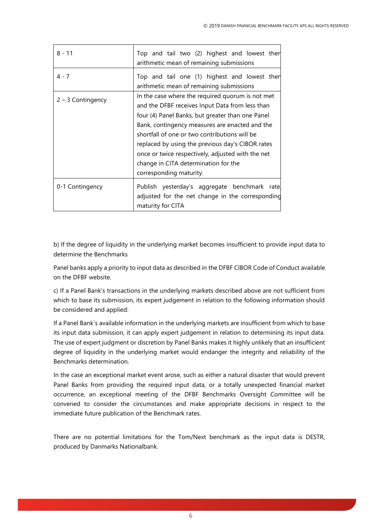| $8 - 11$            | Top and tail two (2) highest and lowest then<br>arithmetic mean of remaining submissions                                                                                                                                                                                                                                                                                                                                               |
|---------------------|----------------------------------------------------------------------------------------------------------------------------------------------------------------------------------------------------------------------------------------------------------------------------------------------------------------------------------------------------------------------------------------------------------------------------------------|
| $4 - 7$             | Top and tail one (1) highest and lowest then<br>arithmetic mean of remaining submissions                                                                                                                                                                                                                                                                                                                                               |
| $2 - 3$ Contingency | In the case where the required quorum is not met<br>and the DFBF receives Input Data from less than<br>four (4) Panel Banks, but greater than one Panel<br>Bank, contingency measures are enacted and the<br>shortfall of one or two contributions will be<br>replaced by using the previous day's CIBOR rates<br>once or twice respectively, adjusted with the net<br>change in CITA determination for the<br>corresponding maturity. |
| 0-1 Contingency     | Publish yesterday's aggregate benchmark rate<br>adjusted for the net change in the corresponding<br>maturity for CITA                                                                                                                                                                                                                                                                                                                  |

b) If the degree of liquidity in the underlying market becomes insufficient to provide input data to determine the Benchmarks

Panel banks apply a priority to input data as described in the DFBF CIBOR Code of Conduct available on the DFBF website.

c) If a Panel Bank's transactions in the underlying markets described above are not sufficient from which to base its submission, its expert judgement in relation to the following information should be considered and applied:

If a Panel Bank`s available information in the underlying markets are insufficient from which to base its input data submission, it can apply expert judgement in relation to determining its input data. The use of expert judgment or discretion by Panel Banks makes it highly unlikely that an insufficient degree of liquidity in the underlying market would endanger the integrity and reliability of the Benchmarks determination.

In the case an exceptional market event arose, such as either a natural disaster that would prevent Panel Banks from providing the required input data, or a totally unexpected financial market occurrence, an exceptional meeting of the DFBF Benchmarks Oversight Committee will be convened to consider the circumstances and make appropriate decisions in respect to the immediate future publication of the Benchmark rates.

There are no potential limitations for the Tom/Next benchmark as the input data is DESTR, produced by Danmarks Nationalbank.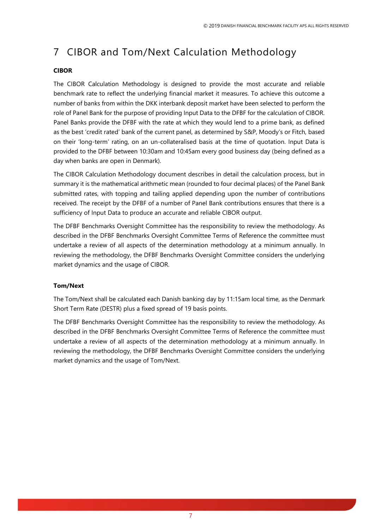# <span id="page-6-0"></span>7 CIBOR and Tom/Next Calculation Methodology

#### **CIBOR**

The CIBOR Calculation Methodology is designed to provide the most accurate and reliable benchmark rate to reflect the underlying financial market it measures. To achieve this outcome a number of banks from within the DKK interbank deposit market have been selected to perform the role of Panel Bank for the purpose of providing Input Data to the DFBF for the calculation of CIBOR. Panel Banks provide the DFBF with the rate at which they would lend to a prime bank, as defined as the best 'credit rated' bank of the current panel, as determined by S&P, Moody's or Fitch, based on their 'long-term' rating, on an un-collateralised basis at the time of quotation. Input Data is provided to the DFBF between 10:30am and 10:45am every good business day (being defined as a day when banks are open in Denmark).

The CIBOR Calculation Methodology document describes in detail the calculation process, but in summary it is the mathematical arithmetic mean (rounded to four decimal places) of the Panel Bank submitted rates, with topping and tailing applied depending upon the number of contributions received. The receipt by the DFBF of a number of Panel Bank contributions ensures that there is a sufficiency of Input Data to produce an accurate and reliable CIBOR output.

The DFBF Benchmarks Oversight Committee has the responsibility to review the methodology. As described in the DFBF Benchmarks Oversight Committee Terms of Reference the committee must undertake a review of all aspects of the determination methodology at a minimum annually. In reviewing the methodology, the DFBF Benchmarks Oversight Committee considers the underlying market dynamics and the usage of CIBOR.

#### **Tom/Next**

The Tom/Next shall be calculated each Danish banking day by 11:15am local time, as the Denmark Short Term Rate (DESTR) plus a fixed spread of 19 basis points.

The DFBF Benchmarks Oversight Committee has the responsibility to review the methodology. As described in the DFBF Benchmarks Oversight Committee Terms of Reference the committee must undertake a review of all aspects of the determination methodology at a minimum annually. In reviewing the methodology, the DFBF Benchmarks Oversight Committee considers the underlying market dynamics and the usage of Tom/Next.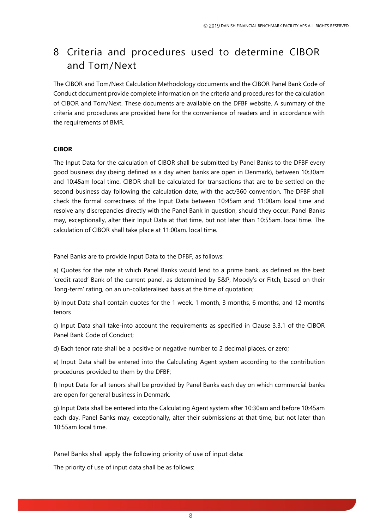## <span id="page-7-0"></span>8 Criteria and procedures used to determine CIBOR and Tom/Next

The CIBOR and Tom/Next Calculation Methodology documents and the CIBOR Panel Bank Code of Conduct document provide complete information on the criteria and procedures for the calculation of CIBOR and Tom/Next. These documents are available on the DFBF website. A summary of the criteria and procedures are provided here for the convenience of readers and in accordance with the requirements of BMR.

#### **CIBOR**

The Input Data for the calculation of CIBOR shall be submitted by Panel Banks to the DFBF every good business day (being defined as a day when banks are open in Denmark), between 10:30am and 10:45am local time. CIBOR shall be calculated for transactions that are to be settled on the second business day following the calculation date, with the act/360 convention. The DFBF shall check the formal correctness of the Input Data between 10:45am and 11:00am local time and resolve any discrepancies directly with the Panel Bank in question, should they occur. Panel Banks may, exceptionally, alter their Input Data at that time, but not later than 10:55am. local time. The calculation of CIBOR shall take place at 11:00am. local time.

Panel Banks are to provide Input Data to the DFBF, as follows:

a) Quotes for the rate at which Panel Banks would lend to a prime bank, as defined as the best 'credit rated' Bank of the current panel, as determined by S&P, Moody's or Fitch, based on their 'long-term' rating, on an un-collateralised basis at the time of quotation;

b) Input Data shall contain quotes for the 1 week, 1 month, 3 months, 6 months, and 12 months tenors

c) Input Data shall take-into account the requirements as specified in Clause 3.3.1 of the CIBOR Panel Bank Code of Conduct;

d) Each tenor rate shall be a positive or negative number to 2 decimal places, or zero;

e) Input Data shall be entered into the Calculating Agent system according to the contribution procedures provided to them by the DFBF;

f) Input Data for all tenors shall be provided by Panel Banks each day on which commercial banks are open for general business in Denmark.

g) Input Data shall be entered into the Calculating Agent system after 10:30am and before 10:45am each day. Panel Banks may, exceptionally, alter their submissions at that time, but not later than 10:55am local time.

Panel Banks shall apply the following priority of use of input data:

The priority of use of input data shall be as follows: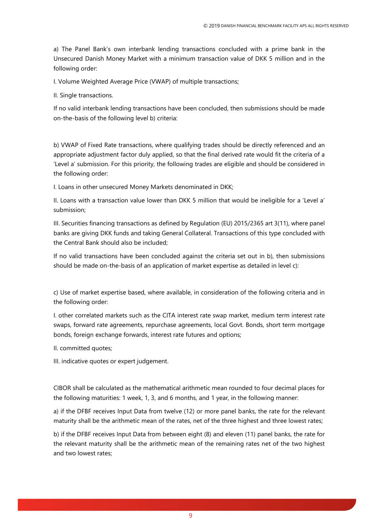a) The Panel Bank's own interbank lending transactions concluded with a prime bank in the Unsecured Danish Money Market with a minimum transaction value of DKK 5 million and in the following order:

I. Volume Weighted Average Price (VWAP) of multiple transactions;

II. Single transactions.

If no valid interbank lending transactions have been concluded, then submissions should be made on-the-basis of the following level b) criteria:

b) VWAP of Fixed Rate transactions, where qualifying trades should be directly referenced and an appropriate adjustment factor duly applied, so that the final derived rate would fit the criteria of a 'Level a' submission. For this priority, the following trades are eligible and should be considered in the following order:

I. Loans in other unsecured Money Markets denominated in DKK;

II. Loans with a transaction value lower than DKK 5 million that would be ineligible for a 'Level a' submission;

III. Securities financing transactions as defined by Regulation (EU) 2015/2365 art 3(11), where panel banks are giving DKK funds and taking General Collateral. Transactions of this type concluded with the Central Bank should also be included;

If no valid transactions have been concluded against the criteria set out in b), then submissions should be made on-the-basis of an application of market expertise as detailed in level c):

c) Use of market expertise based, where available, in consideration of the following criteria and in the following order:

I. other correlated markets such as the CITA interest rate swap market, medium term interest rate swaps, forward rate agreements, repurchase agreements, local Govt. Bonds, short term mortgage bonds, foreign exchange forwards, interest rate futures and options;

II. committed quotes;

III. indicative quotes or expert judgement.

CIBOR shall be calculated as the mathematical arithmetic mean rounded to four decimal places for the following maturities: 1 week, 1, 3, and 6 months, and 1 year, in the following manner:

a) if the DFBF receives Input Data from twelve (12) or more panel banks, the rate for the relevant maturity shall be the arithmetic mean of the rates, net of the three highest and three lowest rates;

b) if the DFBF receives Input Data from between eight (8) and eleven (11) panel banks, the rate for the relevant maturity shall be the arithmetic mean of the remaining rates net of the two highest and two lowest rates;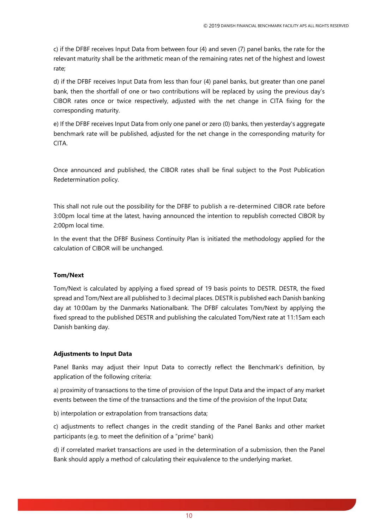c) if the DFBF receives Input Data from between four (4) and seven (7) panel banks, the rate for the relevant maturity shall be the arithmetic mean of the remaining rates net of the highest and lowest rate;

d) if the DFBF receives Input Data from less than four (4) panel banks, but greater than one panel bank, then the shortfall of one or two contributions will be replaced by using the previous day's CIBOR rates once or twice respectively, adjusted with the net change in CITA fixing for the corresponding maturity.

e) If the DFBF receives Input Data from only one panel or zero (0) banks, then yesterday's aggregate benchmark rate will be published, adjusted for the net change in the corresponding maturity for CITA.

Once announced and published, the CIBOR rates shall be final subject to the Post Publication Redetermination policy.

This shall not rule out the possibility for the DFBF to publish a re-determined CIBOR rate before 3:00pm local time at the latest, having announced the intention to republish corrected CIBOR by 2:00pm local time.

In the event that the DFBF Business Continuity Plan is initiated the methodology applied for the calculation of CIBOR will be unchanged.

#### **Tom/Next**

Tom/Next is calculated by applying a fixed spread of 19 basis points to DESTR. DESTR, the fixed spread and Tom/Next are all published to 3 decimal places. DESTR is published each Danish banking day at 10:00am by the Danmarks Nationalbank. The DFBF calculates Tom/Next by applying the fixed spread to the published DESTR and publishing the calculated Tom/Next rate at 11:15am each Danish banking day.

#### **Adjustments to Input Data**

Panel Banks may adjust their Input Data to correctly reflect the Benchmark's definition, by application of the following criteria:

a) proximity of transactions to the time of provision of the Input Data and the impact of any market events between the time of the transactions and the time of the provision of the Input Data;

b) interpolation or extrapolation from transactions data;

c) adjustments to reflect changes in the credit standing of the Panel Banks and other market participants (e.g. to meet the definition of a "prime" bank)

d) if correlated market transactions are used in the determination of a submission, then the Panel Bank should apply a method of calculating their equivalence to the underlying market.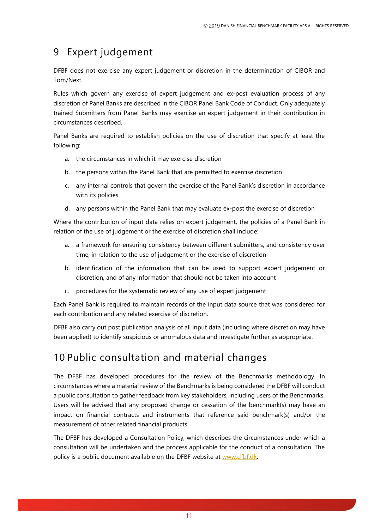## <span id="page-10-0"></span>9 Expert judgement

DFBF does not exercise any expert judgement or discretion in the determination of CIBOR and Tom/Next.

Rules which govern any exercise of expert judgement and ex-post evaluation process of any discretion of Panel Banks are described in the CIBOR Panel Bank Code of Conduct. Only adequately trained Submitters from Panel Banks may exercise an expert judgement in their contribution in circumstances described.

Panel Banks are required to establish policies on the use of discretion that specify at least the following:

- a. the circumstances in which it may exercise discretion
- b. the persons within the Panel Bank that are permitted to exercise discretion
- c. any internal controls that govern the exercise of the Panel Bank's discretion in accordance with its policies
- d. any persons within the Panel Bank that may evaluate ex-post the exercise of discretion

Where the contribution of input data relies on expert judgement, the policies of a Panel Bank in relation of the use of judgement or the exercise of discretion shall include:

- a. a framework for ensuring consistency between different submitters, and consistency over time, in relation to the use of judgement or the exercise of discretion
- b. identification of the information that can be used to support expert judgement or discretion, and of any information that should not be taken into account
- c. procedures for the systematic review of any use of expert judgement

Each Panel Bank is required to maintain records of the input data source that was considered for each contribution and any related exercise of discretion.

DFBF also carry out post publication analysis of all input data (including where discretion may have been applied) to identify suspicious or anomalous data and investigate further as appropriate.

### <span id="page-10-1"></span>10 Public consultation and material changes

The DFBF has developed procedures for the review of the Benchmarks methodology. In circumstances where a material review of the Benchmarks is being considered the DFBF will conduct a public consultation to gather feedback from key stakeholders, including users of the Benchmarks. Users will be advised that any proposed change or cessation of the benchmark(s) may have an impact on financial contracts and instruments that reference said benchmark(s) and/or the measurement of other related financial products.

The DFBF has developed a Consultation Policy, which describes the circumstances under which a consultation will be undertaken and the process applicable for the conduct of a consultation. The policy is a public document available on the DFBF website at www.dfbf.dk.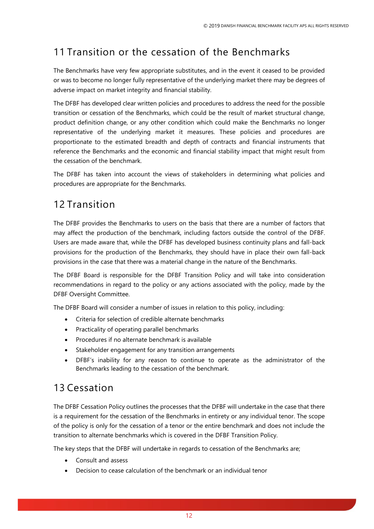# <span id="page-11-0"></span>11 Transition or the cessation of the Benchmarks

The Benchmarks have very few appropriate substitutes, and in the event it ceased to be provided or was to become no longer fully representative of the underlying market there may be degrees of adverse impact on market integrity and financial stability.

The DFBF has developed clear written policies and procedures to address the need for the possible transition or cessation of the Benchmarks, which could be the result of market structural change, product definition change, or any other condition which could make the Benchmarks no longer representative of the underlying market it measures. These policies and procedures are proportionate to the estimated breadth and depth of contracts and financial instruments that reference the Benchmarks and the economic and financial stability impact that might result from the cessation of the benchmark.

The DFBF has taken into account the views of stakeholders in determining what policies and procedures are appropriate for the Benchmarks.

## <span id="page-11-1"></span>12 Transition

The DFBF provides the Benchmarks to users on the basis that there are a number of factors that may affect the production of the benchmark, including factors outside the control of the DFBF. Users are made aware that, while the DFBF has developed business continuity plans and fall-back provisions for the production of the Benchmarks, they should have in place their own fall-back provisions in the case that there was a material change in the nature of the Benchmarks.

The DFBF Board is responsible for the DFBF Transition Policy and will take into consideration recommendations in regard to the policy or any actions associated with the policy, made by the DFBF Oversight Committee.

The DFBF Board will consider a number of issues in relation to this policy, including:

- Criteria for selection of credible alternate benchmarks
- Practicality of operating parallel benchmarks
- Procedures if no alternate benchmark is available
- Stakeholder engagement for any transition arrangements
- DFBF's inability for any reason to continue to operate as the administrator of the Benchmarks leading to the cessation of the benchmark.

## <span id="page-11-2"></span>13 Cessation

The DFBF Cessation Policy outlines the processes that the DFBF will undertake in the case that there is a requirement for the cessation of the Benchmarks in entirety or any individual tenor. The scope of the policy is only for the cessation of a tenor or the entire benchmark and does not include the transition to alternate benchmarks which is covered in the DFBF Transition Policy.

The key steps that the DFBF will undertake in regards to cessation of the Benchmarks are;

- Consult and assess
- Decision to cease calculation of the benchmark or an individual tenor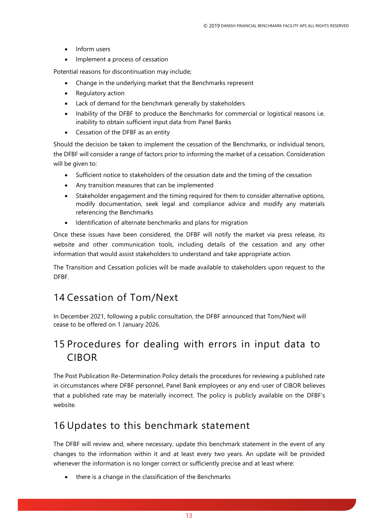- Inform users
- Implement a process of cessation

Potential reasons for discontinuation may include;

- Change in the underlying market that the Benchmarks represent
- Regulatory action
- Lack of demand for the benchmark generally by stakeholders
- Inability of the DFBF to produce the Benchmarks for commercial or logistical reasons i.e. inability to obtain sufficient input data from Panel Banks
- Cessation of the DFBF as an entity

Should the decision be taken to implement the cessation of the Benchmarks, or individual tenors, the DFBF will consider a range of factors prior to informing the market of a cessation. Consideration will be given to:

- Sufficient notice to stakeholders of the cessation date and the timing of the cessation
- Any transition measures that can be implemented
- Stakeholder engagement and the timing required for them to consider alternative options, modify documentation, seek legal and compliance advice and modify any materials referencing the Benchmarks
- Identification of alternate benchmarks and plans for migration

Once these issues have been considered, the DFBF will notify the market via press release, its website and other communication tools, including details of the cessation and any other information that would assist stakeholders to understand and take appropriate action.

The Transition and Cessation policies will be made available to stakeholders upon request to the DFBF.

### <span id="page-12-0"></span>14 Cessation of Tom/Next

In December 2021, following a public consultation, the DFBF announced that Tom/Next will cease to be offered on 1 January 2026.

## <span id="page-12-1"></span>15 Procedures for dealing with errors in input data to CIBOR

The Post Publication Re-Determination Policy details the procedures for reviewing a published rate in circumstances where DFBF personnel, Panel Bank employees or any end-user of CIBOR believes that a published rate may be materially incorrect. The policy is publicly available on the DFBF's website.

### <span id="page-12-2"></span>16 Updates to this benchmark statement

The DFBF will review and, where necessary, update this benchmark statement in the event of any changes to the information within it and at least every two years. An update will be provided whenever the information is no longer correct or sufficiently precise and at least where:

• there is a change in the classification of the Benchmarks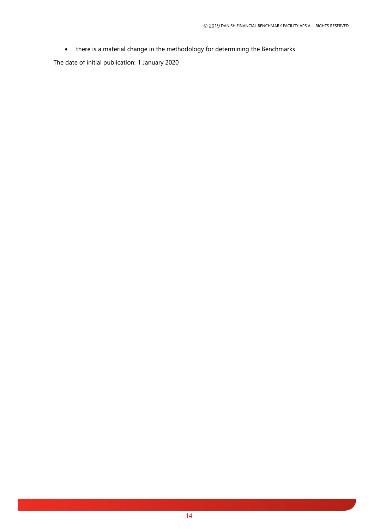• there is a material change in the methodology for determining the Benchmarks

The date of initial publication: 1 January 2020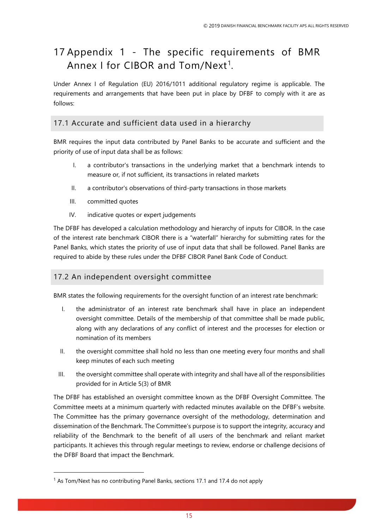# <span id="page-14-0"></span>17 Appendix 1 - The specific requirements of BMR Annex I for CIBOR and  $\mathsf{Tom}/\mathsf{Next}^1$ .

Under Annex I of Regulation (EU) 2016/1011 additional regulatory regime is applicable. The requirements and arrangements that have been put in place by DFBF to comply with it are as follows:

### <span id="page-14-1"></span>17.1 Accurate and sufficient data used in a hierarchy

BMR requires the input data contributed by Panel Banks to be accurate and sufficient and the priority of use of input data shall be as follows:

- I. a contributor's transactions in the underlying market that a benchmark intends to measure or, if not sufficient, its transactions in related markets
- II. a contributor's observations of third-party transactions in those markets
- III. committed quotes
- IV. indicative quotes or expert judgements

The DFBF has developed a calculation methodology and hierarchy of inputs for CIBOR. In the case of the interest rate benchmark CIBOR there is a "waterfall" hierarchy for submitting rates for the Panel Banks, which states the priority of use of input data that shall be followed. Panel Banks are required to abide by these rules under the DFBF CIBOR Panel Bank Code of Conduct.

### <span id="page-14-2"></span>17.2 An independent oversight committee

BMR states the following requirements for the oversight function of an interest rate benchmark:

- I. the administrator of an interest rate benchmark shall have in place an independent oversight committee. Details of the membership of that committee shall be made public, along with any declarations of any conflict of interest and the processes for election or nomination of its members
- II. the oversight committee shall hold no less than one meeting every four months and shall keep minutes of each such meeting
- III. the oversight committee shall operate with integrity and shall have all of the responsibilities provided for in Article 5(3) of BMR

The DFBF has established an oversight committee known as the DFBF Oversight Committee. The Committee meets at a minimum quarterly with redacted minutes available on the DFBF's website. The Committee has the primary governance oversight of the methodology, determination and dissemination of the Benchmark. The Committee's purpose is to support the integrity, accuracy and reliability of the Benchmark to the benefit of all users of the benchmark and reliant market participants. It achieves this through regular meetings to review, endorse or challenge decisions of the DFBF Board that impact the Benchmark.

 $<sup>1</sup>$  As Tom/Next has no contributing Panel Banks, sections 17.1 and 17.4 do not apply</sup>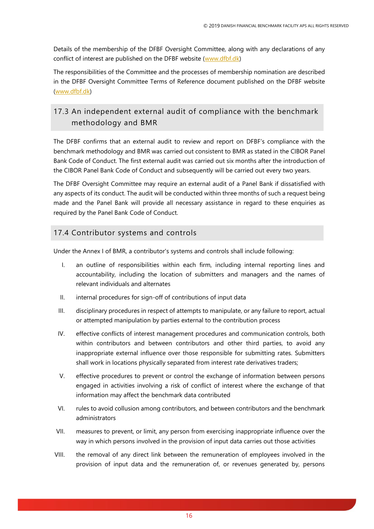Details of the membership of the DFBF Oversight Committee, along with any declarations of any conflict of interest are published on the DFBF website [\(www.dfbf.dk\)](http://www.dfbf.dk/)

The responsibilities of the Committee and the processes of membership nomination are described in the DFBF Oversight Committee Terms of Reference document published on the DFBF website [\(www.dfbf.dk\)](http://www.dfbf.dk/)

### <span id="page-15-0"></span>17.3 An independent external audit of compliance with the benchmark methodology and BMR

The DFBF confirms that an external audit to review and report on DFBF's compliance with the benchmark methodology and BMR was carried out consistent to BMR as stated in the CIBOR Panel Bank Code of Conduct. The first external audit was carried out six months after the introduction of the CIBOR Panel Bank Code of Conduct and subsequently will be carried out every two years.

The DFBF Oversight Committee may require an external audit of a Panel Bank if dissatisfied with any aspects of its conduct. The audit will be conducted within three months of such a request being made and the Panel Bank will provide all necessary assistance in regard to these enquiries as required by the Panel Bank Code of Conduct.

### <span id="page-15-1"></span>17.4 Contributor systems and controls

Under the Annex I of BMR, a contributor's systems and controls shall include following:

- I. an outline of responsibilities within each firm, including internal reporting lines and accountability, including the location of submitters and managers and the names of relevant individuals and alternates
- II. internal procedures for sign-off of contributions of input data
- III. disciplinary procedures in respect of attempts to manipulate, or any failure to report, actual or attempted manipulation by parties external to the contribution process
- IV. effective conflicts of interest management procedures and communication controls, both within contributors and between contributors and other third parties, to avoid any inappropriate external influence over those responsible for submitting rates. Submitters shall work in locations physically separated from interest rate derivatives traders;
- V. effective procedures to prevent or control the exchange of information between persons engaged in activities involving a risk of conflict of interest where the exchange of that information may affect the benchmark data contributed
- VI. rules to avoid collusion among contributors, and between contributors and the benchmark administrators
- VII. measures to prevent, or limit, any person from exercising inappropriate influence over the way in which persons involved in the provision of input data carries out those activities
- VIII. the removal of any direct link between the remuneration of employees involved in the provision of input data and the remuneration of, or revenues generated by, persons